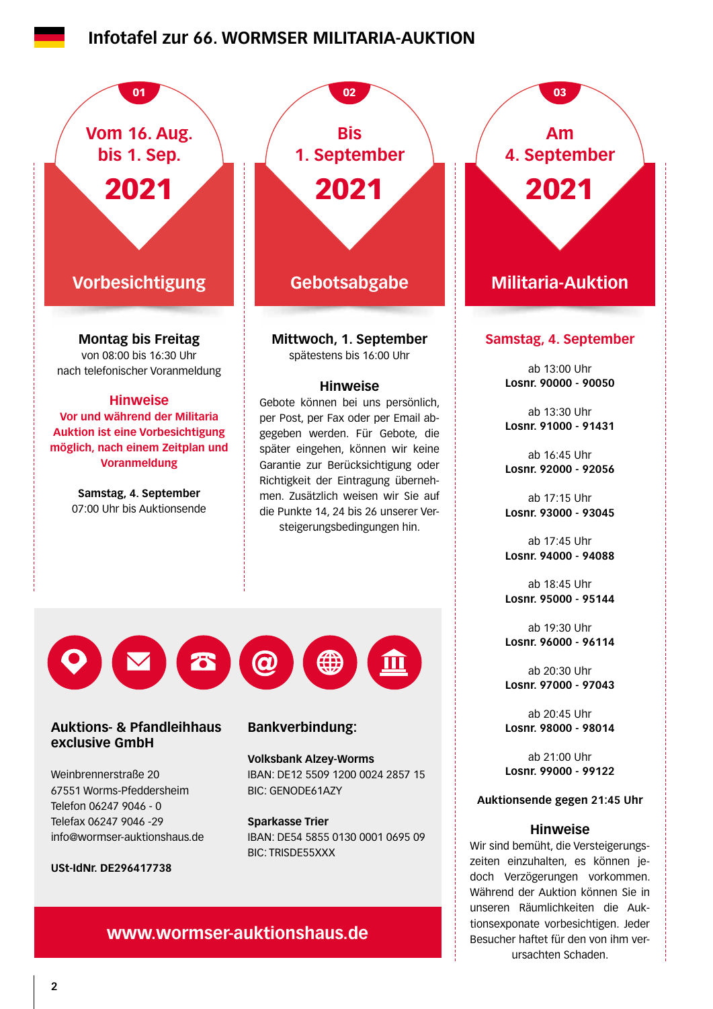# **Infotafel zur 66. WORMSER MILITARIA-AUKTION**



# **www.wormser-auktionshaus.de**

Besucher haftet für den von ihm verursachten Schaden.

tionsexponate vorbesichtigen. Jeder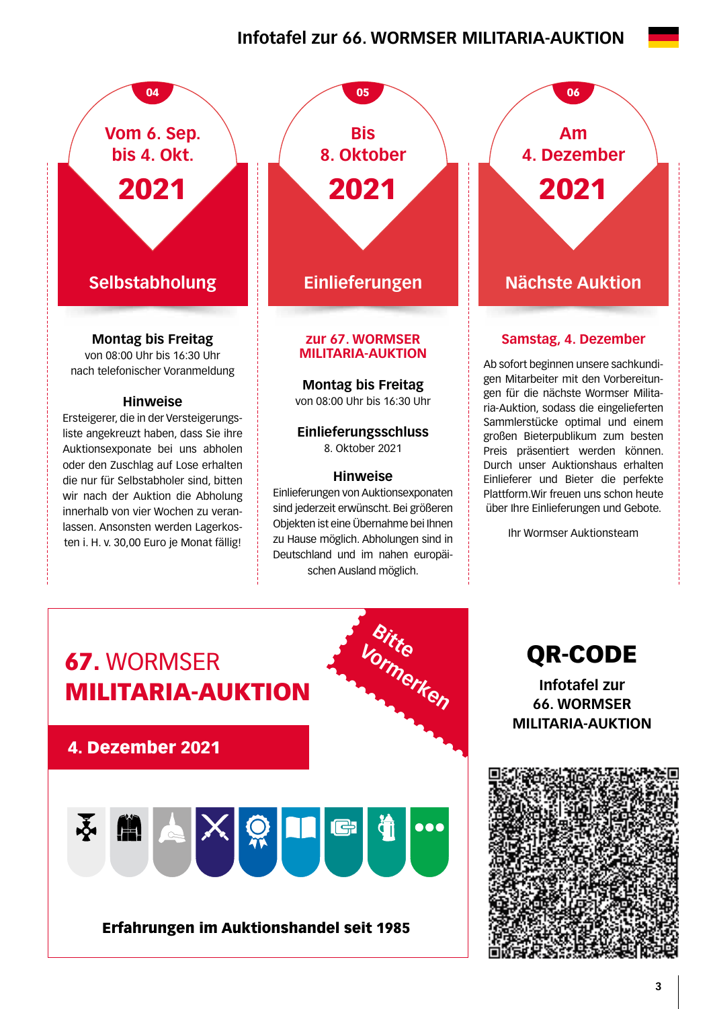# **Infotafel zur 66. WORMSER MILITARIA-AUKTION**



die nur für Selbstabholer sind, bitten wir nach der Auktion die Abholung innerhalb von vier Wochen zu veranlassen. Ansonsten werden Lagerkosten i. H. v. 30,00 Euro je Monat fällig!

**Selbstabholung Einlieferungen Nächste Auktion zur 67. WORMSER**  04 05 05 06 **Bis 8. Oktober** 2021

# **MILITARIA-AUKTION**

**Montag bis Freitag** 

von 08:00 Uhr bis 16:30 Uhr

## **Einlieferungsschluss**  8. Oktober 2021

## **Hinweise**

Einlieferungen von Auktionsexponaten sind jederzeit erwünscht. Bei größeren Objekten ist eine Übernahme bei Ihnen zu Hause möglich. Abholungen sind in Deutschland und im nahen europäischen Ausland möglich.

**Am 4. Dezember** 2021

# **Samstag, 4. Dezember**

Ab sofort beginnen unsere sachkundigen Mitarbeiter mit den Vorbereitungen für die nächste Wormser Militaria-Auktion, sodass die eingelieferten Sammlerstücke optimal und einem großen Bieterpublikum zum besten Preis präsentiert werden können. Durch unser Auktionshaus erhalten Einlieferer und Bieter die perfekte Plattform.Wir freuen uns schon heute über Ihre Einlieferungen und Gebote.

Ihr Wormser Auktionsteam



QR-CODE

**Infotafel zur 66. WORMSER MILITARIA-AUKTION**

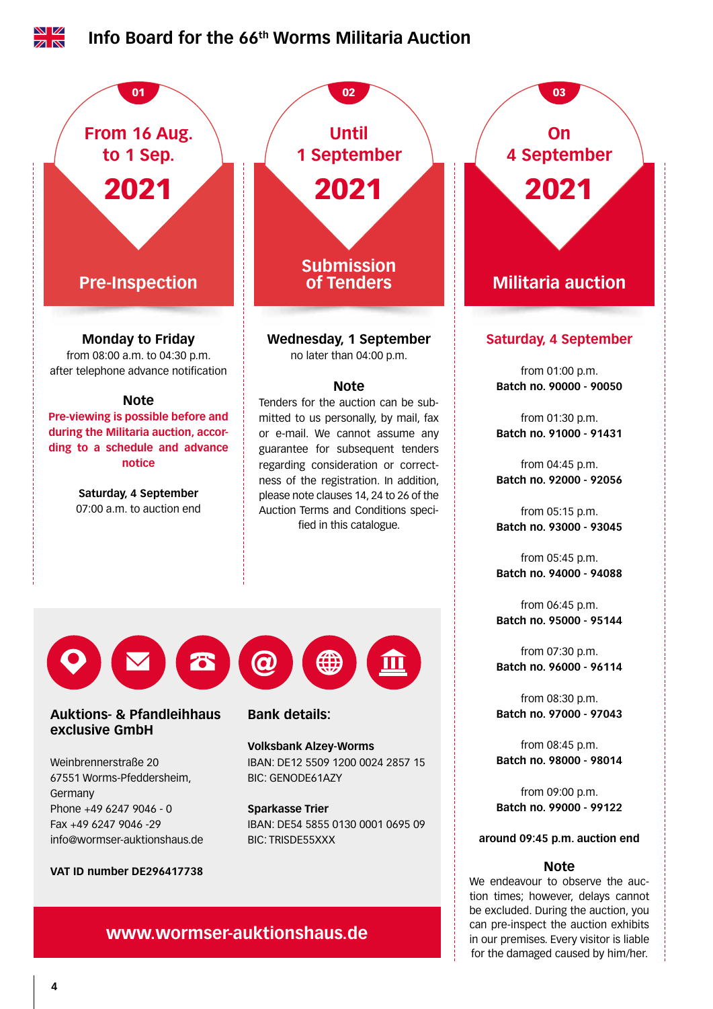

for the damaged caused by him/her.